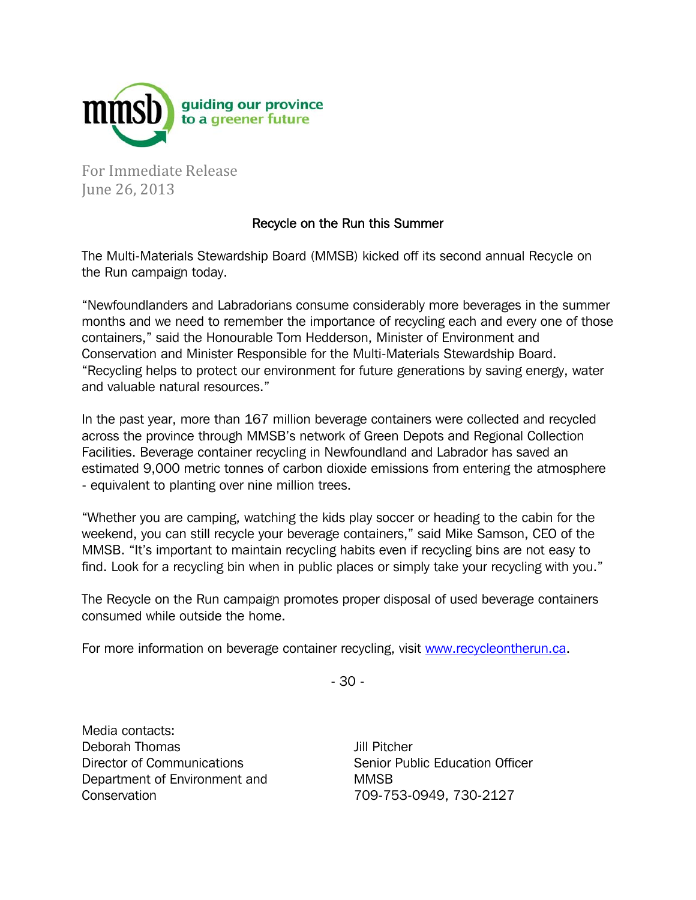

For Immediate Release June 26, 2013

## Recycle on the Run this Summer

The Multi-Materials Stewardship Board (MMSB) kicked off its second annual Recycle on the Run campaign today.

"Newfoundlanders and Labradorians consume considerably more beverages in the summer months and we need to remember the importance of recycling each and every one of those containers," said the Honourable Tom Hedderson, Minister of Environment and Conservation and Minister Responsible for the Multi-Materials Stewardship Board. "Recycling helps to protect our environment for future generations by saving energy, water and valuable natural resources."

In the past year, more than 167 million beverage containers were collected and recycled across the province through MMSB's network of Green Depots and Regional Collection Facilities. Beverage container recycling in Newfoundland and Labrador has saved an estimated 9,000 metric tonnes of carbon dioxide emissions from entering the atmosphere - equivalent to planting over nine million trees.

"Whether you are camping, watching the kids play soccer or heading to the cabin for the weekend, you can still recycle your beverage containers," said Mike Samson, CEO of the MMSB. "It's important to maintain recycling habits even if recycling bins are not easy to find. Look for a recycling bin when in public places or simply take your recycling with you."

The Recycle on the Run campaign promotes proper disposal of used beverage containers consumed while outside the home.

For more information on beverage container recycling, visit www.recycleontherun.ca.

- 30 -

Media contacts: Deborah Thomas Director of Communications Department of Environment and **Conservation** 

Jill Pitcher Senior Public Education Officer MMSB 709-753-0949, 730-2127